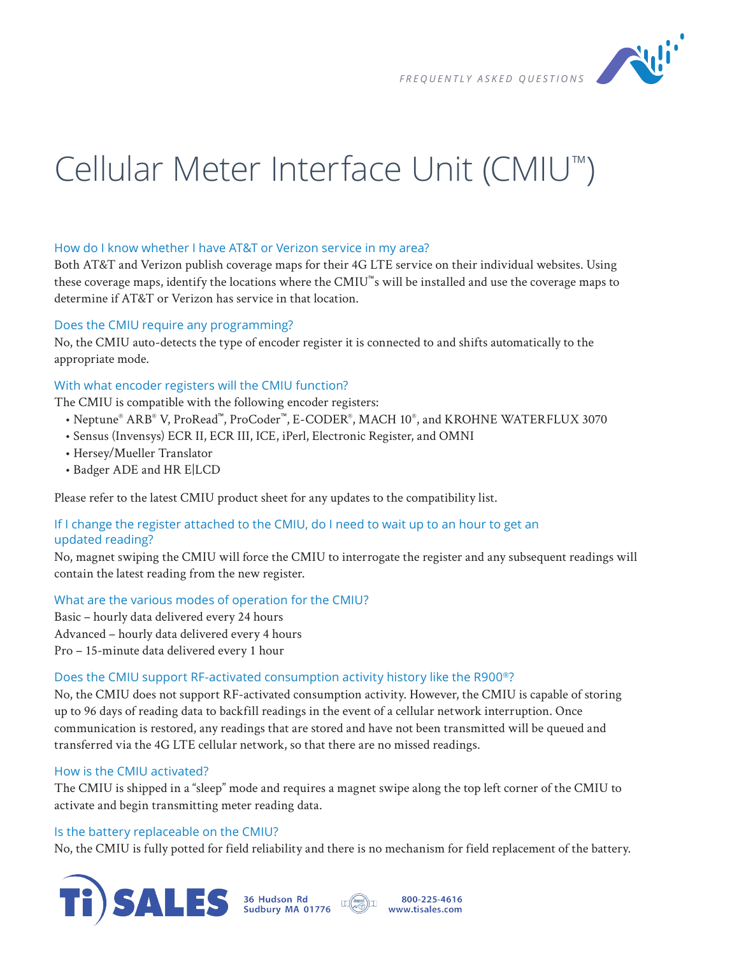

# Cellular Meter Interface Unit (CMIU™)

## How do I know whether I have AT&T or Verizon service in my area?

Both AT&T and Verizon publish coverage maps for their 4G LTE service on their individual websites. Using these coverage maps, identify the locations where the CMIU™s will be installed and use the coverage maps to determine if AT&T or Verizon has service in that location.

#### Does the CMIU require any programming?

No, the CMIU auto-detects the type of encoder register it is connected to and shifts automatically to the appropriate mode.

## With what encoder registers will the CMIU function?

The CMIU is compatible with the following encoder registers:

- Neptune® ARB® V, ProRead™, ProCoder™, E-CODER® , MACH 10® , and KROHNE WATERFLUX 3070
- Sensus (Invensys) ECR II, ECR III, ICE, iPerl, Electronic Register, and OMNI
- Hersey/Mueller Translator
- Badger ADE and HR E|LCD

Please refer to the latest CMIU product sheet for any updates to the compatibility list.

# If I change the register attached to the CMIU, do I need to wait up to an hour to get an updated reading?

No, magnet swiping the CMIU will force the CMIU to interrogate the register and any subsequent readings will contain the latest reading from the new register.

## What are the various modes of operation for the CMIU?

Basic – hourly data delivered every 24 hours Advanced – hourly data delivered every 4 hours Pro – 15-minute data delivered every 1 hour

#### Does the CMIU support RF-activated consumption activity history like the R900®?

No, the CMIU does not support RF-activated consumption activity. However, the CMIU is capable of storing up to 96 days of reading data to backfill readings in the event of a cellular network interruption. Once communication is restored, any readings that are stored and have not been transmitted will be queued and transferred via the 4G LTE cellular network, so that there are no missed readings.

#### How is the CMIU activated?

The CMIU is shipped in a "sleep" mode and requires a magnet swipe along the top left corner of the CMIU to activate and begin transmitting meter reading data.

#### Is the battery replaceable on the CMIU?

No, the CMIU is fully potted for field reliability and there is no mechanism for field replacement of the battery.



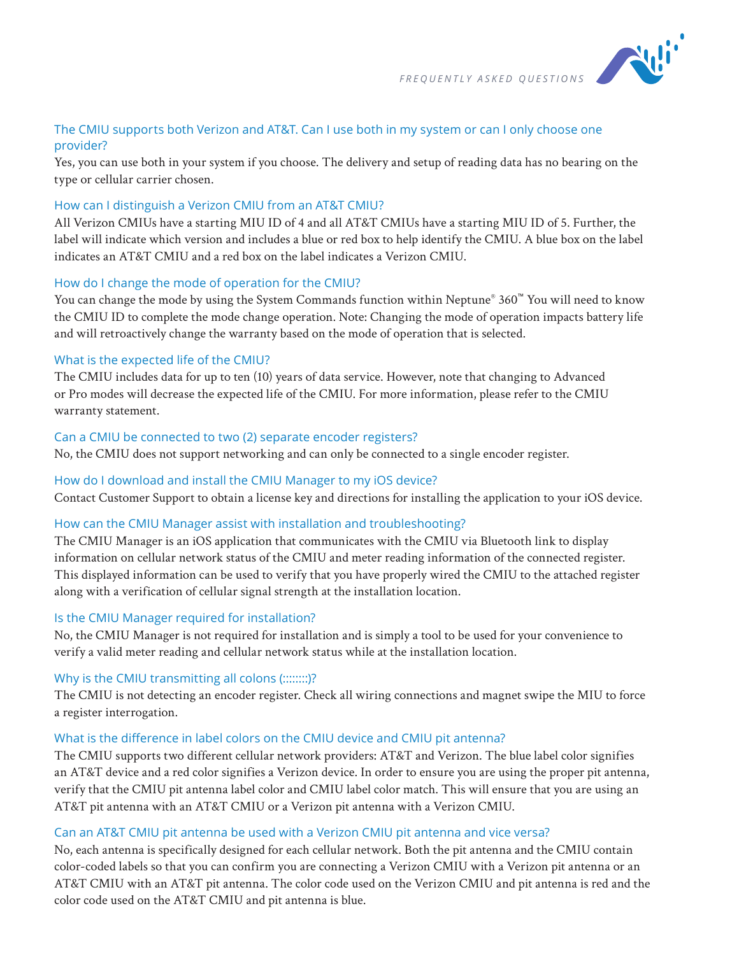

## The CMIU supports both Verizon and AT&T. Can I use both in my system or can I only choose one provider?

Yes, you can use both in your system if you choose. The delivery and setup of reading data has no bearing on the type or cellular carrier chosen.

## How can I distinguish a Verizon CMIU from an AT&T CMIU?

All Verizon CMIUs have a starting MIU ID of 4 and all AT&T CMIUs have a starting MIU ID of 5. Further, the label will indicate which version and includes a blue or red box to help identify the CMIU. A blue box on the label indicates an AT&T CMIU and a red box on the label indicates a Verizon CMIU.

## How do I change the mode of operation for the CMIU?

You can change the mode by using the System Commands function within Neptune® 360™ You will need to know the CMIU ID to complete the mode change operation. Note: Changing the mode of operation impacts battery life and will retroactively change the warranty based on the mode of operation that is selected.

## What is the expected life of the CMIU?

The CMIU includes data for up to ten (10) years of data service. However, note that changing to Advanced or Pro modes will decrease the expected life of the CMIU. For more information, please refer to the CMIU warranty statement.

## Can a CMIU be connected to two (2) separate encoder registers?

No, the CMIU does not support networking and can only be connected to a single encoder register.

## How do I download and install the CMIU Manager to my iOS device?

Contact Customer Support to obtain a license key and directions for installing the application to your iOS device.

## How can the CMIU Manager assist with installation and troubleshooting?

The CMIU Manager is an iOS application that communicates with the CMIU via Bluetooth link to display information on cellular network status of the CMIU and meter reading information of the connected register. This displayed information can be used to verify that you have properly wired the CMIU to the attached register along with a verification of cellular signal strength at the installation location.

## Is the CMIU Manager required for installation?

No, the CMIU Manager is not required for installation and is simply a tool to be used for your convenience to verify a valid meter reading and cellular network status while at the installation location.

## Why is the CMIU transmitting all colons (::::::::)?

The CMIU is not detecting an encoder register. Check all wiring connections and magnet swipe the MIU to force a register interrogation.

## What is the difference in label colors on the CMIU device and CMIU pit antenna?

The CMIU supports two different cellular network providers: AT&T and Verizon. The blue label color signifies an AT&T device and a red color signifies a Verizon device. In order to ensure you are using the proper pit antenna, verify that the CMIU pit antenna label color and CMIU label color match. This will ensure that you are using an AT&T pit antenna with an AT&T CMIU or a Verizon pit antenna with a Verizon CMIU.

## Can an AT&T CMIU pit antenna be used with a Verizon CMIU pit antenna and vice versa?

No, each antenna is specifically designed for each cellular network. Both the pit antenna and the CMIU contain color-coded labels so that you can confirm you are connecting a Verizon CMIU with a Verizon pit antenna or an AT&T CMIU with an AT&T pit antenna. The color code used on the Verizon CMIU and pit antenna is red and the color code used on the AT&T CMIU and pit antenna is blue.